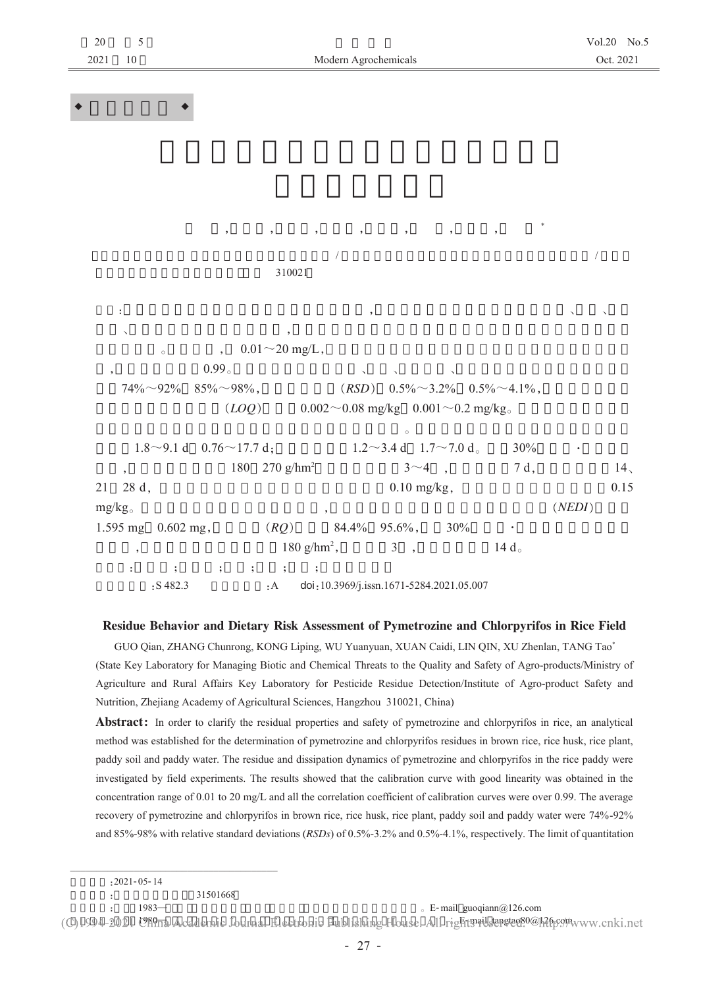| $20\,$<br>2021 | $\sqrt{5}$<br>$10\,$ | Modern Agrochemicals                                                                                                       | Vol.20 No.:<br>Oct. 2021 |
|----------------|----------------------|----------------------------------------------------------------------------------------------------------------------------|--------------------------|
|                |                      |                                                                                                                            |                          |
|                |                      |                                                                                                                            |                          |
|                |                      |                                                                                                                            |                          |
|                |                      |                                                                                                                            |                          |
|                |                      |                                                                                                                            |                          |
|                |                      |                                                                                                                            |                          |
|                |                      |                                                                                                                            |                          |
|                |                      | $\overline{\phantom{a}}$<br>$\cdot$ ,<br>$\,$<br>$^\mathrm{^\mathrm{o}}$<br>$\bullet$<br>$^\mathrm{^\mathrm{o}}$<br>$\, ,$ |                          |
|                |                      | $\sqrt{2}$                                                                                                                 | $\sqrt{\phantom{a}}$     |
|                |                      | 310021                                                                                                                     |                          |
|                |                      |                                                                                                                            |                          |
|                | ÷                    | $\overline{\phantom{a}}$                                                                                                   |                          |
|                | $\checkmark$         | $\, ,$                                                                                                                     |                          |
|                |                      | $0.01 \sim 20$ mg/L,<br>$\overline{\phantom{0}}$<br>$\circ$                                                                |                          |
|                |                      | 0.99 <sub>o</sub><br>$85\%{\sim}98\%$ ,<br>$(RSD)$ 0.5% $\sim$ 3.2% 0.5% $\sim$ 4.1%,<br>$74\% \sim 92\%$                  |                          |
|                |                      | (LOQ)<br>$0.002 \sim 0.08$ mg/kg $0.001 \sim 0.2$ mg/kg                                                                    |                          |
|                |                      | $\circ$                                                                                                                    |                          |
|                |                      | $1.8 \sim 9.1$ d $0.76 \sim 17.7$ d;<br>$1.2 \sim 3.4$ d $1.7 \sim 7.0$ d <sub>o</sub><br>30%                              |                          |
|                | $, \, \,$            | 180 270 g/hm <sup>2</sup><br>$3 \sim 4$ ,<br>7 d,                                                                          | 14 <sub>1</sub>          |
| 21             | 28 d,                | $0.10$ mg/kg,                                                                                                              | 0.15                     |
|                | $mg/kg_{\circ}$      |                                                                                                                            | (NEDI)                   |
|                |                      | $(RQ)$ 84.4% 95.6%, 30%<br>1.595 mg 0.602 mg,<br>$\bullet$                                                                 |                          |
|                | $\, ,$               | $180 \text{ g/hm}^2$ , 3,<br>14 $d_{\circ}$                                                                                |                          |
|                | ÷.                   | $\qquad \qquad ; \qquad \quad ; \qquad \quad ; \qquad \quad ;$<br>$\ddot{\phantom{1}}$                                     |                          |
|                |                      | :S482.3<br>:A doi:10.3969/j.issn.1671-5284.2021.05.007                                                                     |                          |

## Residue Behavior and Dietary Risk Assessment of Pymetrozine and Chlorpyrifos in Rice Field

GUO Qian, ZHANG Chunrong, KONG Liping, WU Yuanyuan, XUAN Caidi, LIN QIN, XU Zhenlan, TANG Tao\* (State Key Laboratory for Managing Biotic and Chemical Threats to the Quality and Safety of Agro-products/Ministry of Agriculture and Rural Affairs Key Laboratory for Pesticide Residue Detection/Institute of Agro-product Safety and Nutrition, Zhejiang Academy of Agricultural Sciences, Hangzhou 310021, China)

Abstract: In order to clarify the residual properties and safety of pymetrozine and chlorpyrifos in rice, an analytical method was established for the determination of pymetrozine and chlorpyrifos residues in brown rice, rice husk, rice plant, paddy soil and paddy water. The residue and dissipation dynamics of pymetrozine and chlorpyrifos in the rice paddy were investigated by field experiments. The results showed that the calibration curve with good linearity was obtained in the concentration range of 0.01 to 20 mg/L and all the correlation coefficient of calibration curves were over 0.99. The average recovery of pymetrozine and chlorpyrifos in brown rice, rice husk, rice plant, paddy soil and paddy water were 74%-92% and 85%-98% with relative standard deviations ( $RSDs$ ) of 0.5%-3.2% and 0.5%-4.1%, respectively. The limit of quantitation

 $\pm$ 

 $\circ$  E-mail guoqiann@126.com

(C)1994-2021 USPna Academic Journal Electronic Publishing House. All right mail sangtage 0@h26ps9thwww.cnki.net

 $: 2021 - 05 - 14$ 

<sup>31501668</sup> 

 $1983-$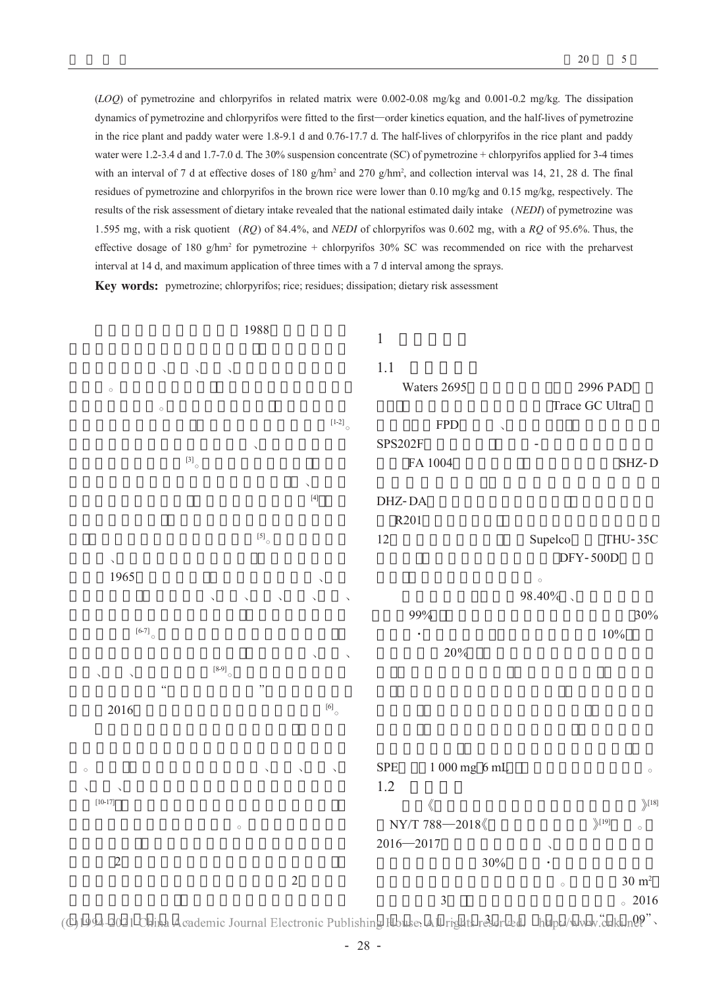(LOQ) of pymetrozine and chlorpyrifos in related matrix were 0.002-0.08 mg/kg and 0.001-0.2 mg/kg. The dissipation dynamics of pymetrozine and chlorpyrifos were fitted to the first—order kinetics equation, and the half-lives of pymetrozine in the rice plant and paddy water were 1.8-9.1 d and 0.76-17.7 d. The half-lives of chlorpyrifos in the rice plant and paddy water were 1.2-3.4 d and 1.7-7.0 d. The 30% suspension concentrate (SC) of pymetrozine + chlorpyrifos applied for 3-4 times with an interval of 7 d at effective doses of 180 g/hm<sup>2</sup> and 270 g/hm<sup>2</sup>, and collection interval was 14, 21, 28 d. The final residues of pymetrozine and chlorpyrifos in the brown rice were lower than 0.10 mg/kg and 0.15 mg/kg, respectively. The results of the risk assessment of dietary intake revealed that the national estimated daily intake (NEDI) of pymetrozine was 1.595 mg, with a risk quotient ( $RQ$ ) of 84.4%, and *NEDI* of chlorpyrifos was 0.602 mg, with a  $RQ$  of 95.6%. Thus, the effective dosage of 180  $g/hm^2$  for pymetrozine + chlorpyrifos 30% SC was recommended on rice with the preharvest interval at 14 d, and maximum application of three times with a 7 d interval among the sprays.

Key words: pymetrozine; chlorpyrifos; rice; residues; dissipation; dietary risk assessment



(C)1994-2021 China Academic Journal Electronic Publishing House. All rights reserved. http://www.cnki.n09".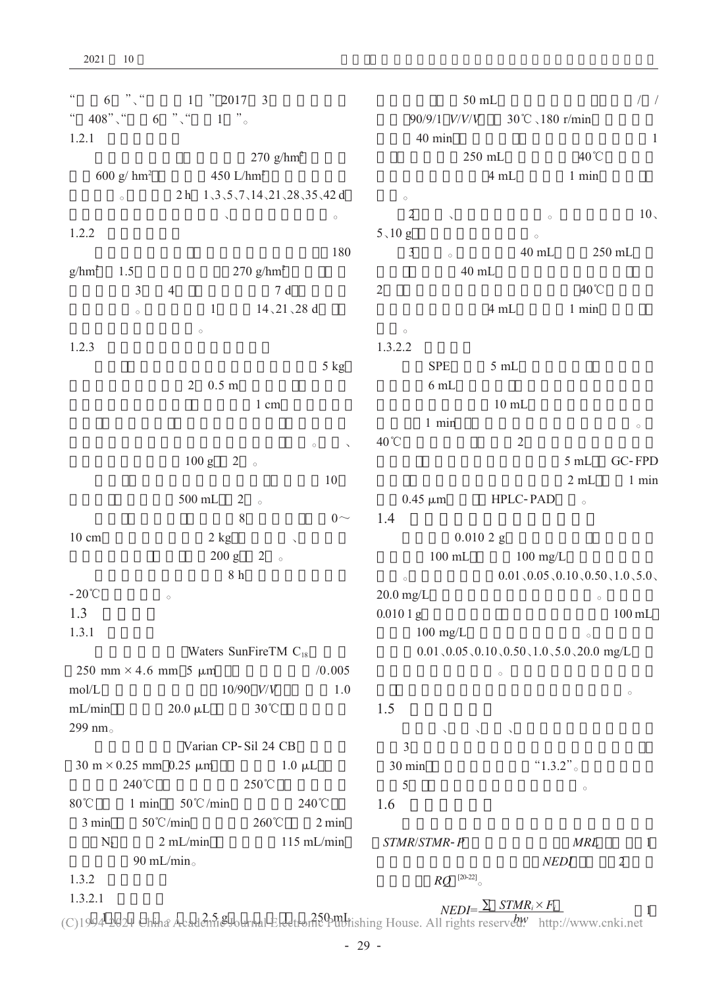$\omega$  $6 \frac{m}{2}$  $" 2017 3$  $\mathbf{1}$  $\cdots$  $\degree$  408",  $\degree$  $6\overline{6}$  $1 \frac{1}{2}$  $1.2.1$ 270  $g/hm^2$ 600 g/ $\text{hm}^2$ 450 L/ $hm<sup>2</sup>$ 2 h  $1\sqrt{3}\sqrt{5}\sqrt{7}\sqrt{14}\sqrt{21}\sqrt{28}\sqrt{35}\sqrt{42}$  d  $\circ$  $\ddot{\phantom{a}}$  $\sim$  $1.2.2$ 180  $g/hm^2$ 1.5  $270$  g/hm<sup>2</sup>  $\overline{3}$  $\overline{4}$  $7d$  $\overline{2}$  $14, 21, 28$  d  $\mathbf{1}$  $\sim$  $\overline{a}$  $1.2.3$  $5$  kg  $2^{0.5}$  m 1 cm  $100 g$  2  $\circ$ 10  $2 \circ$ 500 mL  $\overline{8}$  $0\sim$ 10 cm  $2$  kg  $2^{\circ}$  $200 g$  $8h$  $-20^{\circ}$ C  $\overline{a}$ 1.3  $1.3.1$ Waters SunFireTM  $C_{18}$ 250 mm  $\times$  4.6 mm 5  $\mu$ m  $/0.005$  $mol/L$  $10/90$   $V/V$  $1.0$  $mL/min$  $20.0 \mu L$  $30^{\circ}$ C 299 nm $_{\circ}$ Varian CP-Sil 24 CB  $30 \text{ m} \times 0.25 \text{ mm}$  0.25  $\mu$ m  $1.0 \mu L$ 240°C 250°C  $50^{\circ}$ C/min  $80^{\circ}$ C  $1$  min 240°C 1.6  $260^{\circ}$ C  $50^{\circ}$ C/min  $3 \text{ min}$  $2 \text{ min}$  $N_{2}$  $2$  mL/min  $115$  mL/min 90 mL/min.  $1.3.2$  $1.3.2.1$ 

 $/$  /  $50$  mL 90/9/1 V/V/V  $30^{\circ}$ C  $\sqrt{180}$  r/min  $40 \text{ min}$  $\mathbf{1}$ 40 $^{\circ}$ C  $250$  mL  $4 mL$  $1$  min  $\circ$ 2  $10<sub>1</sub>$  $\circ$  $\ddot{\phantom{a}}$  $5,10 g$  $\sim$  $\overline{3}$  $40$  mL 250 mL  $40$  mL  $40^{\circ}$ C  $4 mL$  $1$  min  $\qquad \circ$  $1.3.2.2$ **SPE**  $5 mL$  $6mL$  $10$  mL  $1$  min  $\circ$  $40^{\circ}$ C  $\mathfrak{D}$  $5mL$ GC-FPD  $2 mL$  $1$  min  $0.45 \mu m$ HPLC-PAD  $\overline{a}$  $1.4$  $0.0102 g$  $100$  mL  $100$  mg/L  $0.01$ ,  $0.05$ ,  $0.10$ ,  $0.50$ ,  $1.0$ ,  $5.0$ ,  $\circ$  $20.0$  mg/L  $0.0101 g$  $100 \text{ mL}$  $100 \text{ mg/L}$  $0.01$ ,  $0.05$ ,  $0.10$ ,  $0.50$ ,  $1.0$ ,  $5.0$ ,  $20.0$  mg/L  $\circ$ 1.5  $\overline{\mathbf{3}}$ 30 min  $"1.3.2"$ 5  $\circ$ 

STMR/STMR-P  $MRL$  $\overline{1}$ **NEDI**  $\overline{2}$  $RO$ <sup>[20-22]</sup>

 $NEDI = \frac{\sum_{i} \quad \text{STMR}_{i} \times F_{i}}{\sum_{i} \quad \text{STMR}_{i} \times F_{i}}$ 

 $\mathbf{1}$ (C)1994-2021 China Academi&Journal Electronic Publishing House. All rights reserved http://www.cnki.net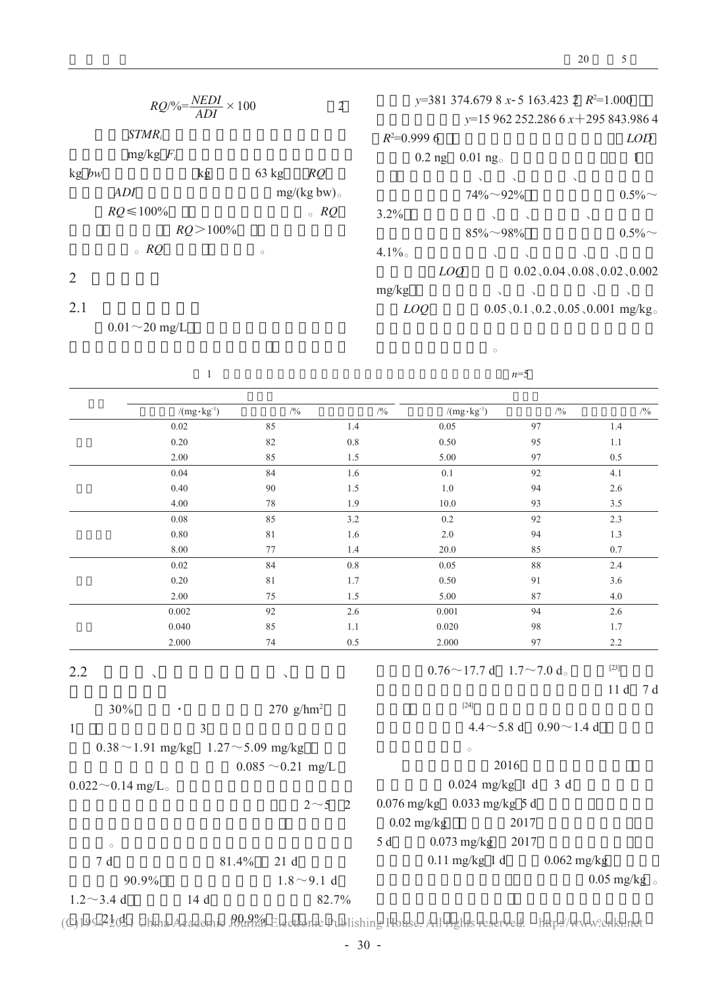| $RQ/\% = \frac{NEDI}{ADI} \times 100$ |                | $\overline{2}$ | $y=381374.6798x-5163.4232R^2=1.000$ |                      |              |          |                        |               |                                |                                                  |
|---------------------------------------|----------------|----------------|-------------------------------------|----------------------|--------------|----------|------------------------|---------------|--------------------------------|--------------------------------------------------|
|                                       |                |                |                                     |                      |              |          |                        |               | $y=15962252.2866x+295843.9864$ |                                                  |
|                                       | $STMR_i$       |                |                                     |                      | $R^2=0.9996$ |          |                        |               |                                | <b>LOD</b>                                       |
|                                       | $mg/kg$ $F_i$  |                |                                     |                      |              | $0.2$ ng | $0.01$ ng <sub>o</sub> |               |                                |                                                  |
| $kg$ bw                               |                | kg             | $63 \text{ kg}$                     | RQ                   |              |          | $\lambda$              |               |                                |                                                  |
|                                       | ADI            |                |                                     | $mg/(kg bw)_{\circ}$ |              |          | $74\% \sim 92\%$       |               |                                | $0.5\%$                                          |
|                                       | $RQ \le 100\%$ |                |                                     | $\circ$ RQ           | $3.2\%$      |          | $\Delta$               | $\sqrt{2}$    | $\lambda$                      |                                                  |
|                                       |                | $RO > 100\%$   |                                     |                      |              |          | $85\% \sim 98\%$       |               |                                | $0.5\%$                                          |
|                                       | $\circ$ RQ     |                | $\circ$                             |                      | $4.1\%$      |          | $\sqrt{2}$             | $\sim$        | $\Delta$                       | $\lambda$                                        |
| 2                                     |                |                |                                     |                      |              | LOQ      |                        |               |                                | $0.02$ , $0.04$ , $0.08$ , $0.02$ , $0.002$      |
|                                       |                |                |                                     |                      | mg/kg        |          | $\Delta$               | $\sim$ $\sim$ | $\Delta$                       |                                                  |
| 2.1                                   |                |                |                                     |                      | LOO          |          |                        |               |                                | $0.05$ , $0.1$ , $0.2$ , $0.05$ , $0.001$ mg/kg. |

 $0.01\!\sim\!20$  mg/L

 $\overline{1}$ 

 $^\circ$ 

 $n=5$ 

|                         | $/(mg \cdot kg^{-1})$                         | $/ {^0\!/}_0$          |              | $/9/_{\!\!\!0}$<br>$/(mg \cdot kg^{-1})$ | $/ {^0\!/}_0$                                | $/ {^0\!/}_0$                              |
|-------------------------|-----------------------------------------------|------------------------|--------------|------------------------------------------|----------------------------------------------|--------------------------------------------|
|                         | 0.02                                          | 85                     | 1.4          | 0.05                                     | 97                                           | 1.4                                        |
|                         | 0.20                                          | 82                     | $0.8\,$      | 0.50                                     | 95                                           | 1.1                                        |
|                         | 2.00                                          | 85                     | 1.5          | 5.00                                     | 97                                           | 0.5                                        |
|                         | 0.04                                          | 84                     | 1.6          | 0.1                                      | 92                                           | 4.1                                        |
|                         | 0.40                                          | 90                     | $1.5\,$      | $1.0\,$                                  | 94                                           | $2.6\,$                                    |
|                         | 4.00                                          | 78                     | 1.9          | 10.0                                     | 93                                           | 3.5                                        |
|                         | 0.08                                          | 85                     | 3.2          | $0.2\,$                                  | 92                                           | 2.3                                        |
|                         | 0.80                                          | 81                     | 1.6          | 2.0                                      | 94                                           | 1.3                                        |
|                         | 8.00                                          | 77                     | 1.4          | 20.0                                     | 85                                           | 0.7                                        |
|                         | 0.02                                          | 84                     | $0.8\,$      | 0.05                                     | 88                                           | 2.4                                        |
|                         | 0.20                                          | 81                     | 1.7          | 0.50                                     | 91                                           | 3.6                                        |
|                         | 2.00                                          | 75                     | 1.5          | 5.00                                     | 87                                           | 4.0                                        |
|                         | 0.002                                         | 92                     | 2.6          | 0.001                                    | 94                                           | 2.6                                        |
|                         | 0.040                                         | 85                     | $1.1\,$      | 0.020                                    | 98                                           | 1.7                                        |
|                         | 2.000                                         | 74                     | 0.5          | 2.000                                    | 97                                           | 2.2                                        |
| 2.2                     |                                               | $\checkmark$           |              |                                          | $0.76 \sim 17.7 \text{ d}$ 1.7 $\sim$ 7.0 d. | $[23]$                                     |
|                         |                                               |                        |              |                                          |                                              | 11d<br>7 d                                 |
| 30%                     |                                               | 270 $g/hm^2$           |              | $[24]$                                   |                                              |                                            |
| $\,1$                   | $\overline{3}$                                |                        |              |                                          | $4.4 \sim 5.8$ d $0.90 \sim 1.4$ d           |                                            |
|                         | $0.38 \sim 1.91$ mg/kg 1.27 $\sim$ 5.09 mg/kg |                        |              | $\circ$                                  |                                              |                                            |
|                         |                                               | $0.085 \sim 0.21$ mg/L |              |                                          | 2016                                         |                                            |
| $0.022 \sim 0.14$ mg/L. |                                               |                        |              | $0.024$ mg/kg 1 d                        | 3d                                           |                                            |
|                         |                                               |                        | $2 \sim 5$ 2 | $0.076$ mg/kg $0.033$ mg/kg 5 d          |                                              |                                            |
|                         |                                               |                        |              |                                          |                                              |                                            |
|                         |                                               |                        |              | $0.02$ mg/kg                             | 2017                                         |                                            |
| $\circ$                 |                                               |                        |              | 5 d<br>$0.073$ mg/kg                     | 2017                                         |                                            |
| $7\,\,{\rm d}$          | 81.4%                                         | 21d                    |              | $0.11$ mg/kg 1 d                         | $0.062$ mg/kg                                |                                            |
| 90.9%                   |                                               | $1.8 \sim 9.1$ d       |              |                                          |                                              | $0.05$ mg/kg $_{\scriptscriptstyle \odot}$ |
| $1.2 \sim 3.4$ d        | 14 d                                          |                        | 82.7%        |                                          |                                              |                                            |

(C)19942021 China Academic *POrrica*l Electronic Publishing House. All rights reserved. http://www.cnki.net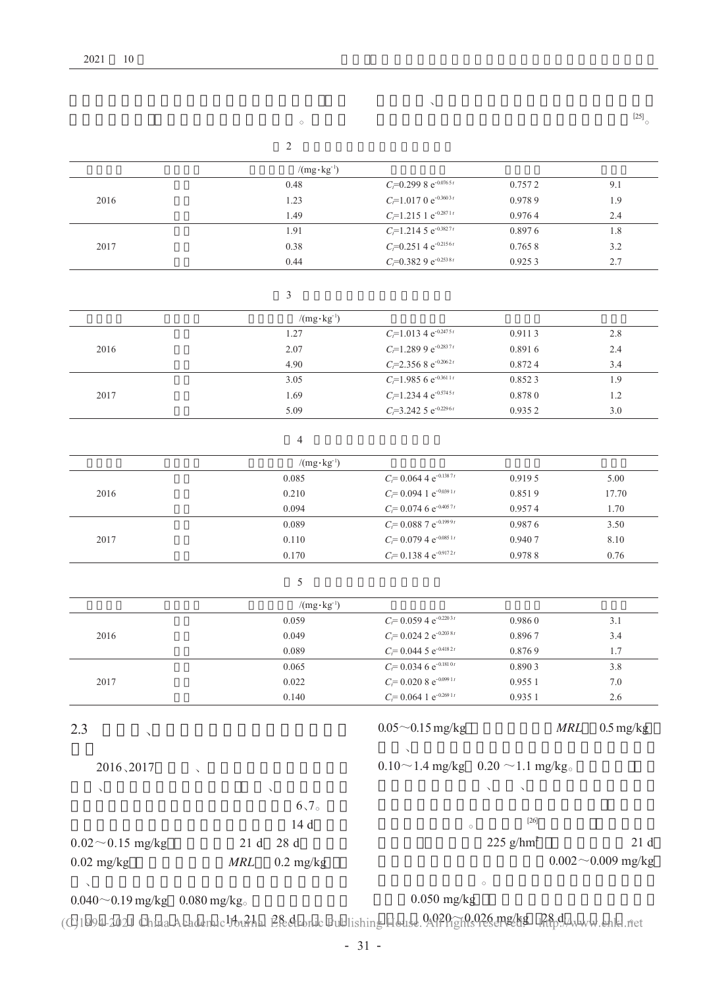|                                                                    |                                   | $\checkmark$                                                                   |                  |                             |
|--------------------------------------------------------------------|-----------------------------------|--------------------------------------------------------------------------------|------------------|-----------------------------|
|                                                                    | $\circ$                           |                                                                                |                  | $\left[ 25\right] _{\circ}$ |
|                                                                    | $\sqrt{2}$                        |                                                                                |                  |                             |
|                                                                    |                                   |                                                                                |                  |                             |
|                                                                    | $/(mg \cdot kg^{-1})$             |                                                                                |                  |                             |
|                                                                    | 0.48                              | $C_f$ =0.299 8 e <sup>-0.0765t</sup>                                           | 0.7572           | 9.1                         |
| 2016                                                               | 1.23<br>1.49                      | $C_{i}$ =1.017 0 e <sup>-0.3603t</sup><br>$C_f$ =1.215 1 e <sup>-0.2871t</sup> | 0.9789<br>0.9764 | 1.9<br>2.4                  |
|                                                                    | 1.91                              | $C_f$ =1.214 5 e <sup>-0.3827t</sup>                                           | 0.8976           | 1.8                         |
| 2017                                                               | 0.38                              | $C_{t}$ =0.251 4 e <sup>-0.2156t</sup>                                         | 0.7658           | 3.2                         |
|                                                                    | 0.44                              | $C_{\bar{r}}=0.3829e^{-0.2538t}$                                               | 0.9253           | 2.7                         |
|                                                                    | 3                                 |                                                                                |                  |                             |
|                                                                    | $/(mg \cdot kg^{-1})$             |                                                                                |                  |                             |
|                                                                    | 1.27                              | $C_f$ =1.013 4 e <sup>-0.2475t</sup>                                           | 0.9113           | 2.8                         |
| 2016                                                               | 2.07                              | $C_f$ =1.289 9 e <sup>-0.2837t</sup>                                           | 0.8916           | 2.4                         |
|                                                                    | 4.90                              | $C_f$ =2.356 8 e <sup>-0.2062t</sup>                                           | 0.8724           | 3.4                         |
|                                                                    | 3.05                              | $C_f$ =1.985 6 e <sup>-0.361 1t</sup>                                          | 0.8523           | 1.9                         |
| 2017                                                               | 1.69                              | $C_f$ =1.234 4 e <sup>-0.5745t</sup>                                           | 0.8780           | 1.2                         |
|                                                                    | 5.09                              | $C_t = 3.2425 e^{-0.2296t}$                                                    | 0.9352           | 3.0                         |
|                                                                    | 4                                 |                                                                                |                  |                             |
|                                                                    | $/(mg \cdot kg^{-1})$             |                                                                                |                  |                             |
|                                                                    | 0.085                             | $C_t = 0.0644e^{-0.1387t}$                                                     | 0.9195           | 5.00                        |
| 2016                                                               | 0.210                             | $C_t$ = 0.094 1 e <sup>-0.039 1t</sup>                                         | 0.8519           | 17.70                       |
|                                                                    | 0.094                             | $C_f$ = 0.074 6 e <sup>-0.4057t</sup>                                          | 0.9574           | 1.70                        |
|                                                                    | 0.089                             | $C_t$ = 0.088 7 e <sup>-0.1999t</sup>                                          | 0.9876           | 3.50                        |
| 2017                                                               | 0.110                             | $C_f$ = 0.079 4 e <sup>-0.085 1t</sup>                                         | 0.9407           | 8.10                        |
|                                                                    | 0.170                             | $C = 0.1384 e^{-0.9172t}$                                                      | 0.9788           | 0.76                        |
|                                                                    | 5                                 |                                                                                |                  |                             |
|                                                                    | $/(mg \cdot kg^{-1})$             |                                                                                |                  |                             |
|                                                                    | 0.059                             | $C_f$ = 0.059 4 e <sup>-0.2203t</sup>                                          | 0.9860           | 3.1                         |
| 2016                                                               | 0.049                             | $C_l$ = 0.024 2 e <sup>-0.2038t</sup>                                          | 0.8967           | 3.4                         |
|                                                                    | 0.089                             | $C_f$ = 0.044 5 e <sup>-0.4182t</sup>                                          | 0.8769           | 1.7                         |
|                                                                    | 0.065                             | $C_f$ = 0.034 6 e <sup>-0.181 0t</sup>                                         | 0.8903           | 3.8                         |
| 2017                                                               | 0.022                             | $C_t = 0.0208 e^{-0.0991t}$                                                    | 0.955 1          | 7.0                         |
|                                                                    | 0.140                             | $C_l$ = 0.064 1 e <sup>-0.269 1t</sup>                                         | 0.935 1          | 2.6                         |
| 2.3<br>$\checkmark$                                                |                                   | $0.05 \sim 0.15$ mg/kg                                                         | $\it{MRL}$       | $0.5 \text{ mg/kg}$         |
| 2016、2017                                                          |                                   | $0.10 \sim 1.4$ mg/kg $0.20 \sim 1.1$ mg/kg                                    |                  |                             |
|                                                                    |                                   |                                                                                |                  |                             |
| $\epsilon$                                                         |                                   |                                                                                |                  |                             |
|                                                                    | 6,7                               |                                                                                | $[26]$           |                             |
|                                                                    | 14 d                              | $\circ$                                                                        |                  |                             |
| $0.02 \sim 0.15$ mg/kg                                             | 28 d<br>21 d                      |                                                                                | 225 $g/hm^2$     | 21d                         |
| $0.02$ mg/kg                                                       | $\it{MRL}$<br>$0.2 \text{ mg/kg}$ |                                                                                |                  | $0.002 \sim 0.009$ mg/kg    |
| $\boldsymbol{\checkmark}$<br>$0.040 \sim 0.19$ mg/kg $0.080$ mg/kg |                                   | $\circ$<br>$0.050$ mg/kg                                                       |                  |                             |

(C)1994-2021 China Academic hornhal Electronic Publishing House. 04920 The Cape of Bang //www.cnki.net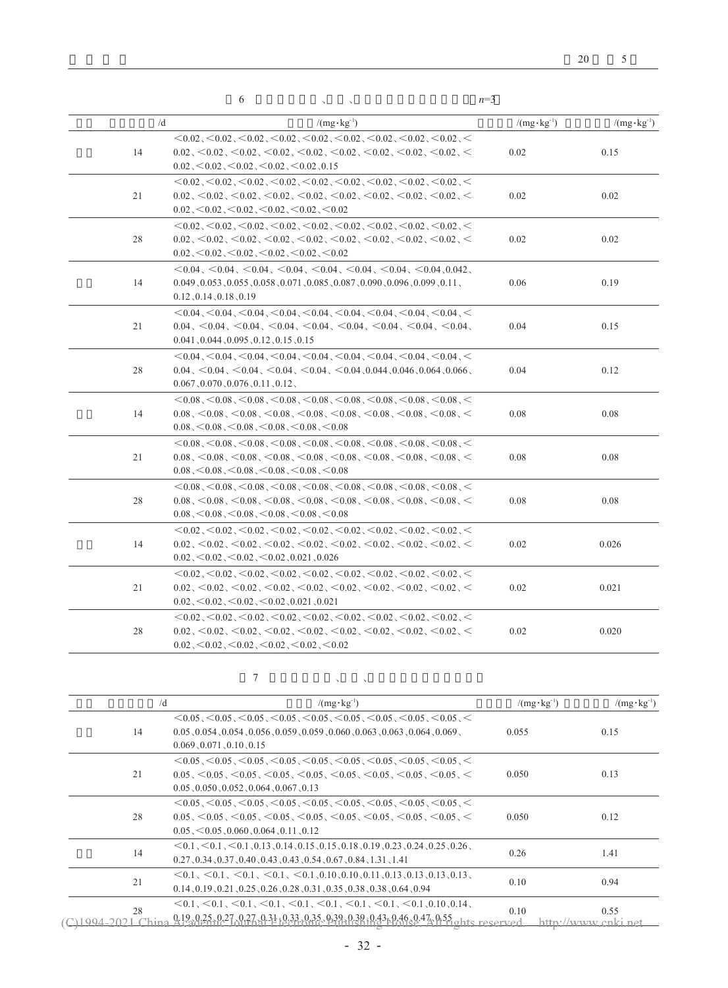|    | 6                                                                                                                                                                                                                                                                                                                                                                                                                                                                                                                                                                  | $n=3$                 |                       |
|----|--------------------------------------------------------------------------------------------------------------------------------------------------------------------------------------------------------------------------------------------------------------------------------------------------------------------------------------------------------------------------------------------------------------------------------------------------------------------------------------------------------------------------------------------------------------------|-----------------------|-----------------------|
|    | /d<br>$/(mg \cdot kg^{-1})$                                                                                                                                                                                                                                                                                                                                                                                                                                                                                                                                        | $/(mg \cdot kg^{-1})$ | $/(mg \cdot kg^{-1})$ |
| 14 | $<$ 0.02, $<$ 0.02, $<$ 0.02, $<$ 0.02, $<$ 0.02, $<$ 0.02, $<$ 0.02, $<$ 0.02, $<$ 0.02, $<$<br>$0.02, \leq 0.02, \leq 0.02, \leq 0.02, \leq 0.02, \leq 0.02, \leq 0.02, \leq 0.02, \leq 0.02, \leq 0.02, \leq 0.02, \leq 0.02, \leq 0.02, \leq 0.02, \leq 0.02, \leq 0.02, \leq 0.02, \leq 0.02, \leq 0.02, \leq 0.02, \leq 0.02, \leq 0.02, \leq 0.02, \leq 0.02, \leq 0.02$<br>$0.02 \le 0.02 \le 0.02 \le 0.02 \le 0.02 \le 0.15$                                                                                                                             | 0.02                  | 0.15                  |
| 21 | $<$ 0.02, $<$ 0.02, $<$ 0.02, $<$ 0.02, $<$ 0.02, $<$ 0.02, $<$ 0.02, $<$ 0.02, $<$ 0.02, $<$<br>$0.02, \leq 0.02, \leq 0.02, \leq 0.02, \leq 0.02, \leq 0.02, \leq 0.02, \leq 0.02, \leq 0.02, \leq 0.02, \leq 0.02, \leq 0.02, \leq 0.02, \leq 0.02, \leq 0.02, \leq 0.02, \leq 0.02, \leq 0.02, \leq 0.02, \leq 0.02, \leq 0.02, \leq 0.02, \leq 0.02, \leq 0.02, \leq 0.02$<br>$0.02 \, \textless\! 0.02 \, \textless\! 0.02 \, \textless\! 0.02 \, \textless\! 0.02 \, \textless\! 0.02$                                                                      | 0.02                  | 0.02                  |
| 28 | $<$ 0.02, $<$ 0.02, $<$ 0.02, $<$ 0.02, $<$ 0.02, $<$ 0.02, $<$ 0.02, $<$ 0.02, $<$ 0.02, $<$<br>$0.02 \times 0.02 \times 0.02 \times 0.02 \times 0.02 \times 0.02 \times 0.02 \times 0.02 \times 0.02 \times 0.02 \times 0.02 \times 0.02$<br>$0.02 \, \textless\, 0.02 \, \textless\, 0.02 \, \textless\, 0.02 \, \textless\, 0.02 \, \textless\, 0.02$                                                                                                                                                                                                          | 0.02                  | 0.02                  |
| 14 | $\leq$ 0.04, $\leq$ 0.04, $\leq$ 0.04, $\leq$ 0.04, $\leq$ 0.04, $\leq$ 0.04, $\leq$ 0.04, 0.042,<br>$0.049, 0.053, 0.055, 0.058, 0.071, 0.085, 0.087, 0.090, 0.096, 0.099, 0.11$<br>$0.12$ , $0.14$ , $0.18$ , $0.19$                                                                                                                                                                                                                                                                                                                                             | 0.06                  | 0.19                  |
| 21 | $<$ 0.04, $<$ 0.04, $<$ 0.04, $<$ 0.04, $<$ 0.04, $<$ 0.04, $<$ 0.04, $<$ 0.04, $<$ 0.04, $<$<br>$0.04 \, \leq \, 0.04 \, \leq \, 0.04 \, \leq \, 0.04 \, \leq \, 0.04 \, \leq \, 0.04 \, \leq \, 0.04 \, \leq \, 0.04 \, \leq \, 0.04 \, \leq \, 0.04 \, \leq \, 0.04 \, \leq \, 0.04 \, \leq \, 0.04 \, \leq \, 0.04 \, \leq \, 0.04 \, \leq \, 0.04 \, \leq \, 0.04 \, \leq \, 0.04 \, \leq \, 0.04$<br>$0.041$ , $0.044$ , $0.095$ , $0.12$ , $0.15$ , $0.15$                                                                                                  | 0.04                  | 0.15                  |
| 28 | $<$ 0.04, $<$ 0.04, $<$ 0.04, $<$ 0.04, $<$ 0.04, $<$ 0.04, $<$ 0.04, $<$ 0.04, $<$ 0.04, $<$<br>$0.04 \, \leq \, 0.04 \, \leq \, 0.04 \, \leq \, 0.04 \, \leq \, 0.04 \, \leq \, 0.04 \, \leq \, 0.04 \, \leq \, 0.044 \, \leq \, 0.046 \, \leq \, 0.064 \, \leq \, 0.066 \, \leq \, 0.046$<br>$0.067$ , $0.070$ , $0.076$ , $0.11$ , $0.12$ ,                                                                                                                                                                                                                    | 0.04                  | 0.12                  |
| 14 | $0.08$ , $0.08$ , $0.08$ , $0.08$ , $0.08$ , $0.08$ , $0.08$ , $0.08$ , $0.08$ , $0.08$ , $0.08$ , $0.08$ , $0.08$<br>$0.08$ , $0.08$ , $0.08$ , $0.08$ , $0.08$ , $0.08$ , $0.08$ , $0.08$ , $0.08$ , $0.08$ , $0.08$ , $0.08$ , $0.08$<br>$0.08 \le 0.08 \le 0.08 \le 0.08 \le 0.08 \le 0.08$                                                                                                                                                                                                                                                                    | 0.08                  | 0.08                  |
| 21 | $0.08$ , $0.08$ , $0.08$ , $0.08$ , $0.08$ , $0.08$ , $0.08$ , $0.08$ , $0.08$ , $0.08$ , $0.08$ , $0.08$ , $0.08$<br>$0.08 \le 0.08 \le 0.08 \le 0.08 \le 0.08 \le 0.08 \le 0.08 \le 0.08 \le 0.08 \le 0.08 \le 0.08 \le 0.08 \le 0.08$<br>$0.08 \le 0.08 \le 0.08 \le 0.08 \le 0.08 \le 0.08$                                                                                                                                                                                                                                                                    | 0.08                  | 0.08                  |
| 28 | $<$ 0.08, $<$ 0.08, $<$ 0.08, $<$ 0.08, $<$ 0.08, $<$ 0.08, $<$ 0.08, $<$ 0.08, $<$ 0.08, $<$<br>$0.08 \le 0.08 \le 0.08 \le 0.08 \le 0.08 \le 0.08 \le 0.08 \le 0.08 \le 0.08 \le 0.08 \le 0.08 \le 0.08$<br>$0.08 \le 0.08 \le 0.08 \le 0.08 \le 0.08 \le 0.08$                                                                                                                                                                                                                                                                                                  | 0.08                  | 0.08                  |
| 14 | $<$ 0.02, $<$ 0.02, $<$ 0.02, $<$ 0.02, $<$ 0.02, $<$ 0.02, $<$ 0.02, $<$ 0.02, $<$ 0.02, $<$<br>$0.02 \times 0.02 \times 0.02 \times 0.02 \times 0.02 \times 0.02 \times 0.02 \times 0.02 \times 0.02 \times 0.02 \times 0.02 \times 0.02 \times 0.02 \times 0.02 \times 0.02 \times 0.02 \times 0.02 \times 0.02 \times 0.02 \times 0.02 \times 0.02 \times 0.02 \times 0.02 \times 0.02 \times 0.02 \times 0.02 \times 0.02 \times 0.02 \times 0.02 \times 0.02 \times 0.02 \times 0.0$<br>$0.02 \le 0.02 \le 0.02 \le 0.02 \le 0.021 \le 0.026$                | 0.02                  | 0.026                 |
| 21 | $<$ 0.02, $<$ 0.02, $<$ 0.02, $<$ 0.02, $<$ 0.02, $<$ 0.02, $<$ 0.02, $<$ 0.02, $<$ 0.02, $<$<br>$0.02 \times 0.02 \times 0.02 \times 0.02 \times 0.02 \times 0.02 \times 0.02 \times 0.02 \times 0.02 \times 0.02 \times 0.02 \times 0.02 \times 0.02 \times 0.02 \times 0.02 \times 0.02 \times 0.02 \times 0.02 \times 0.02 \times 0.02 \times 0.02 \times 0.02 \times 0.02 \times 0.02 \times 0.02 \times 0.02 \times 0.02 \times 0.02 \times 0.02 \times 0.02 \times 0.02 \times 0.0$<br>$0.02 \le 0.02 \le 0.02 \le 0.02$ , 0.021, 0.021                     | 0.02                  | 0.021                 |
| 28 | $\leq$ 0.02, $\leq$ 0.02, $\leq$ 0.02, $\leq$ 0.02, $\leq$ 0.02, $\leq$ 0.02, $\leq$ 0.02, $\leq$ 0.02, $\leq$<br>$0.02 \times 0.02 \times 0.02 \times 0.02 \times 0.02 \times 0.02 \times 0.02 \times 0.02 \times 0.02 \times 0.02 \times 0.02 \times 0.02 \times 0.02 \times 0.02 \times 0.02 \times 0.02 \times 0.02 \times 0.02 \times 0.02 \times 0.02 \times 0.02 \times 0.02 \times 0.02 \times 0.02 \times 0.02 \times 0.02 \times 0.02 \times 0.02 \times 0.02 \times 0.02 \times 0.02 \times 0.0$<br>$0.02 \le 0.02 \le 0.02 \le 0.02 \le 0.02 \le 0.02$ | 0.02                  | 0.020                 |

| $7\phantom{.0}7$ |  | <b>Contract Street</b> |
|------------------|--|------------------------|

|    | /d | $/(mg \cdot kg^{-1})$                                                                                                                                                                                                                                                                | $/(mg \cdot kg^{-1})$ | $/(mg \cdot kg^{-1})$       |
|----|----|--------------------------------------------------------------------------------------------------------------------------------------------------------------------------------------------------------------------------------------------------------------------------------------|-----------------------|-----------------------------|
| 14 |    | $\leq$ 0.05, $\leq$ 0.05, $\leq$ 0.05, $\leq$ 0.05, $\leq$ 0.05, $\leq$ 0.05, $\leq$ 0.05, $\leq$ 0.05, $\leq$<br>$0.05$ , $0.054$ , $0.054$ , $0.056$ , $0.059$ , $0.059$ , $0.060$ , $0.063$ , $0.063$ , $0.064$ , $0.069$ ,<br>0.069, 0.071, 0.10, 0.15                           | 0.055                 | 0.15                        |
| 21 |    | $\leq$ 0.05, $\leq$ 0.05, $\leq$ 0.05, $\leq$ 0.05, $\leq$ 0.05, $\leq$ 0.05, $\leq$ 0.05, $\leq$ 0.05, $\leq$<br>$0.05 \le 0.05 \le 0.05 \le 0.05 \le 0.05 \le 0.05 \le 0.05 \le 0.05 \le 0.05 \le 0.05 \le 0.05 \le 0.05$<br>$0.05, 0.050, 0.052, 0.064, 0.067, 0.13$              | 0.050                 | 0.13                        |
| 28 |    | $\leq$ 0.05, $\leq$ 0.05, $\leq$ 0.05, $\leq$ 0.05, $\leq$ 0.05, $\leq$ 0.05, $\leq$ 0.05, $\leq$ 0.05, $\leq$<br>$0.05 \le 0.05 \le 0.05 \le 0.05 \le 0.05 \le 0.05 \le 0.05 \le 0.05 \le 0.05 \le 0.05 \le 0.05 \le 0.05$<br>$0.05 \le 0.05 \le 0.060 \le 0.064 \le 0.11 \le 0.12$ | 0.050                 | 0.12                        |
| 14 |    | $\leq 0.1$ , $\leq 0.1$ , $\leq 0.1$ , $0.13$ , $0.14$ , $0.15$ , $0.15$ , $0.18$ , $0.19$ , $0.23$ , $0.24$ , $0.25$ , $0.26$ ,<br>$0.27$ , $0.34$ , $0.37$ , $0.40$ , $0.43$ , $0.43$ , $0.54$ , $0.67$ , $0.84$ , $1.31$ , $1.41$                                                 | 0.26                  | 1.41                        |
| 21 |    | $\leq 0.1$ , $\leq 0.1$ , $\leq 0.1$ , $\leq 0.1$ , $\leq 0.1$ , $0.10$ , $0.10$ , $0.11$ , $0.13$ , $0.13$ , $0.13$ , $0.13$ ,<br>$0.14$ , $0.19$ , $0.21$ , $0.25$ , $0.26$ , $0.28$ , $0.31$ , $0.35$ , $0.38$ , $0.38$ , $0.64$ , $0.94$                                         | 0.10                  | 0.94                        |
| 28 |    | $\leq$ 0.1, $\leq$ 0.1, $\leq$ 0.1, $\leq$ 0.1, $\leq$ 0.1, $\leq$ 0.1, $\leq$ 0.1, $\leq$ 0.1, 0.10, 0.14,<br>Q.12, Q.25, Q.27, Q.27, Q.31 ; Q.33, Q.35, Q.39, Q.38 ; Q.43r Q.46, Q.47, Q.55 <sub>ohte</sub>                                                                        | 0.10<br>PIVPC         | 0.55<br>httn://www.cnki.net |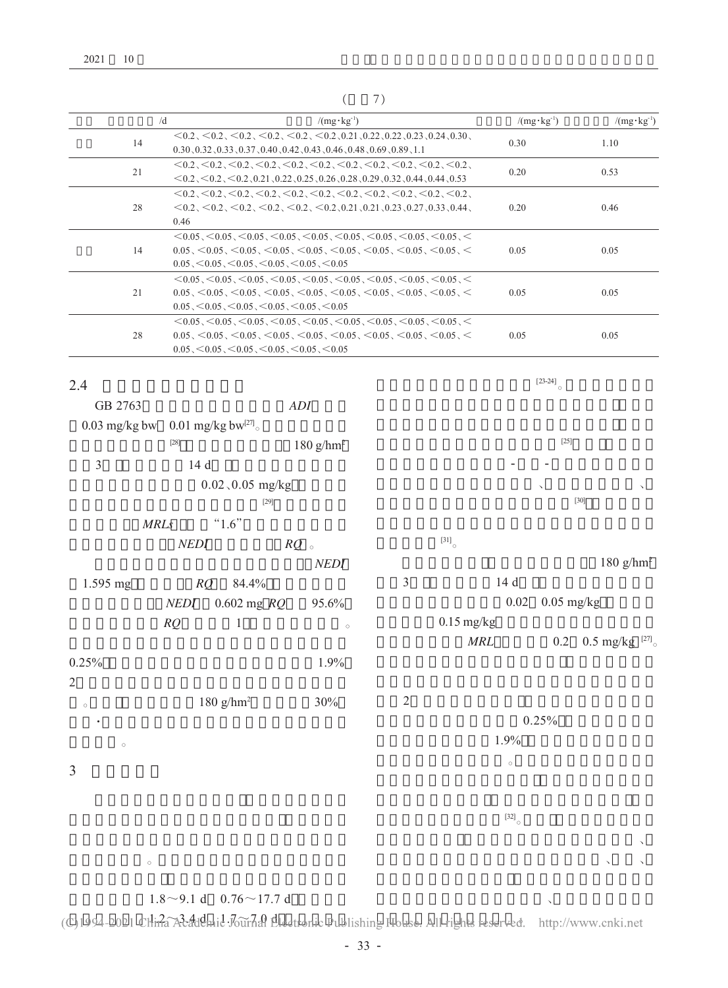|    | /d<br>$/(mg \cdot kg^{-1})$                                                                                                                                                                                                                                                        | $/(mg \cdot kg^{-1})$ | $/(mg \cdot kg^{-1})$ |
|----|------------------------------------------------------------------------------------------------------------------------------------------------------------------------------------------------------------------------------------------------------------------------------------|-----------------------|-----------------------|
| 14 | $\langle 0.2, \langle 0.2, \langle 0.2, \langle 0.2, \langle 0.2, \langle 0.2, \langle 0.2, 0.21, 0.22, 0.22, 0.23, 0.24, 0.30 \rangle$<br>$0.30, 0.32, 0.33, 0.37, 0.40, 0.42, 0.43, 0.46, 0.48, 0.69, 0.89, 1.1$                                                                 | 0.30                  | 1.10                  |
| 21 | $\leq$ 0.2, $\leq$ 0.2, $\leq$ 0.2, $\leq$ 0.2, $\leq$ 0.2, $\leq$ 0.2, $\leq$ 0.2, $\leq$ 0.2, $\leq$ 0.2, $\leq$ 0.2,<br>$<$ 0.2, $<$ 0.2, $<$ 0.2, $<$ 0.21,0.22,0.25,0.26,0.28,0.29,0.32,0.44,0.44,0.53                                                                        | 0.20                  | 0.53                  |
| 28 | $\leq$ 0.2, $\leq$ 0.2, $\leq$ 0.2, $\leq$ 0.2, $\leq$ 0.2, $\leq$ 0.2, $\leq$ 0.2, $\leq$ 0.2, $\leq$ 0.2, $\leq$ 0.2,<br>$\leq$ 0.2, $\leq$ 0.2, $\leq$ 0.2, $\leq$ 0.2, $\leq$ 0.2, 0.21, 0.21, 0.23, 0.27, 0.33, 0.44,<br>0.46                                                 | 0.20                  | 0.46                  |
| 14 | $\leq$ 0.05, $\leq$ 0.05, $\leq$ 0.05, $\leq$ 0.05, $\leq$ 0.05, $\leq$ 0.05, $\leq$ 0.05, $\leq$ 0.05, $\leq$<br>$0.05 \le 0.05 \le 0.05 \le 0.05 \le 0.05 \le 0.05 \le 0.05 \le 0.05 \le 0.05 \le 0.05 \le 0.05 \le 0.05$<br>$0.05 \le 0.05 \le 0.05 \le 0.05 \le 0.05 \le 0.05$ | 0.05                  | 0.05                  |
| 21 | $\leq$ 0.05, $\leq$ 0.05, $\leq$ 0.05, $\leq$ 0.05, $\leq$ 0.05, $\leq$ 0.05, $\leq$ 0.05, $\leq$ 0.05, $\leq$<br>$0.05 \le 0.05 \le 0.05 \le 0.05 \le 0.05 \le 0.05 \le 0.05 \le 0.05 \le 0.05 \le 0.05 \le 0.05$<br>$0.05 \le 0.05 \le 0.05 \le 0.05 \le 0.05 \le 0.05$          | 0.05                  | 0.05                  |
| 28 | $\leq$ 0.05, $\leq$ 0.05, $\leq$ 0.05, $\leq$ 0.05, $\leq$ 0.05, $\leq$ 0.05, $\leq$ 0.05, $\leq$ 0.05, $\leq$<br>$0.05 \le 0.05 \le 0.05 \le 0.05 \le 0.05 \le 0.05 \le 0.05 \le 0.05 \le 0.05 \le 0.05 \le 0.05 \le 0.05$<br>$0.05 \le 0.05 \le 0.05 \le 0.05 \le 0.05 \le 0.05$ | 0.05                  | 0.05                  |

 $[23-24]$ 

 $\bar{\mathcal{N}}$ 

 $(7)$ 

## 2.4

| GB 2763                 |            |                         | $\boldsymbol{A}\boldsymbol{D}\boldsymbol{I}$ |                |                             |              |                           |
|-------------------------|------------|-------------------------|----------------------------------------------|----------------|-----------------------------|--------------|---------------------------|
| $0.03 \text{ mg/kg}$ bw |            | 0.01 mg/kg bw $^{[27]}$ |                                              |                |                             |              |                           |
|                         | $[28]$     |                         | $180$ g/hm <sup>2</sup>                      |                |                             | $[25]$       |                           |
| $\mathfrak{Z}$          | 14 d       |                         |                                              |                |                             |              |                           |
|                         |            | $0.02, 0.05$ mg/kg      |                                              |                |                             | $\checkmark$ | $\boldsymbol{\checkmark}$ |
|                         |            | $[29]$                  |                                              |                |                             |              | $[30]$                    |
|                         | MRLs       | "1.6"                   |                                              |                |                             |              |                           |
|                         | $\it NEDI$ |                         | $RQ_{\circ}$                                 |                | $\left[ 31\right] _{\circ}$ |              |                           |
|                         |            |                         | NEDI                                         |                |                             |              | 180 $g/hm^2$              |
| 1.595 mg                | RQ         | 84.4%                   |                                              | $\mathfrak{Z}$ | 14 d                        |              |                           |
|                         | NEDI       | $0.602$ mg $RQ$         | 95.6%                                        |                | $0.02\,$                    | $0.05$ mg/kg |                           |
|                         | RQ         | $\mathbf{1}$            | $\circ$                                      |                | $0.15$ mg/kg                |              |                           |
|                         |            |                         |                                              |                | $\it{MRL}$                  |              | 0.2 0.5 mg/kg $^{[27]}$   |
| 0.25%                   |            |                         | $1.9\%$                                      |                |                             |              |                           |
| $\sqrt{2}$              |            |                         |                                              |                |                             |              |                           |
| $\circ$                 |            | $180$ g/hm <sup>2</sup> | $30\%$                                       | $\sqrt{2}$     |                             |              |                           |
|                         |            |                         |                                              |                |                             | 0.25%        |                           |
| $\circ$                 |            |                         |                                              |                | 1.9%                        |              |                           |
| $\mathfrak{Z}$          |            |                         |                                              |                | $\circ$                     |              |                           |
|                         |            |                         |                                              |                |                             |              |                           |
|                         |            |                         |                                              |                |                             |              |                           |
|                         |            |                         |                                              |                | $\left[ 32\right] _{\circ}$ |              |                           |

## $1.8 \sim 9.1$  d  $0.76 \sim 17.7$  d

 $\circ$ 

(C)1994-2021 Clina Addemid Journal Lectronic Publishing House. All rights reserved. http://www.cnki.net